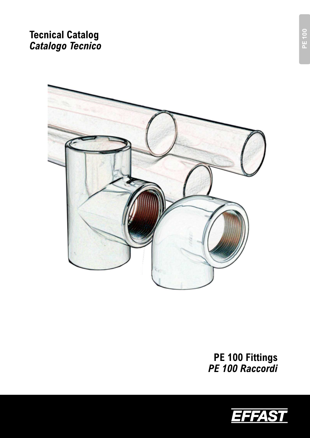# **Tecnical Catalog**  *Catalogo Tecnico*



**PE 100 Fittings**  *PE 100 Raccordi* 

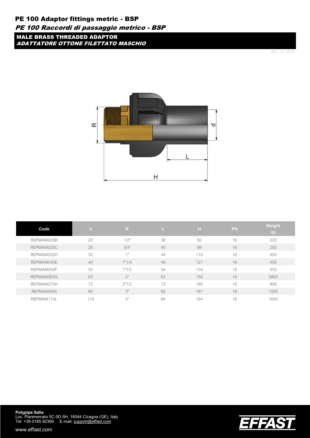## PE 100 Adaptor fittings metric - BSP

### PE 100 Raccordi di passaggio metrico - BSP

MALE BRASS THREADED ADAPTOR ADATTATORE OTTONE FILETTATO MASCHIO

Rev. Jul 2019



| Code       | $\mathbf{d}$ | $\mathsf{R}$ |    | H   | <b>PN</b> | Weight<br>(g) |
|------------|--------------|--------------|----|-----|-----------|---------------|
| REPMAM020B | 20           | 1/2"         | 38 | 92  | 16        | 220           |
| REPMAM025C | 25           | 3/4"         | 40 | 99  | 16        | 250           |
| REPMAM032D | 32           | 1"           | 44 | 110 | 16        | 450           |
| REPMAM040E | 40           | 1"1/4        | 49 | 121 | 16        | 400           |
| REPMAM050F | 50           | 1"1/2        | 54 | 134 | 16        | 400           |
| REPMAM063G | 63           | 2"           | 63 | 150 | 16        | 5800          |
| REPMAM075H | 75           | 2"1/2        | 73 | 185 | 16        | 800           |
| REPMAM090L | 90           | 3"           | 82 | 181 | 16        | 1000          |
| REPMAM110L | 110          | 4"           | 84 | 164 | 16        | 1600          |



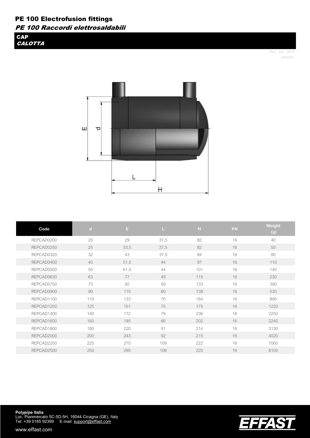**CAP CALOTTA** 

> Rev. Jun 2019 FN5041

**EFFAST** 



| Code       | $\mathbf d$ | E.   | L    | н   | PN | Weight |
|------------|-------------|------|------|-----|----|--------|
|            |             |      |      |     |    | (g)    |
| REPCAD0200 | 20          | 29   | 37,5 | 82  | 16 | 40     |
| REPCAD0250 | 25          | 33,5 | 37,5 | 82  | 16 | 50     |
| REPCAD0320 | 32          | 43   | 37,5 | 84  | 16 | 80     |
| REPCAD0400 | 40          | 51,5 | 44   | 97  | 16 | 110    |
| REPCAD0500 | 50          | 61,5 | 44   | 101 | 16 | 140    |
| REPCAD0630 | 63          | 77   | 49   | 115 | 16 | 230    |
| REPCAD0750 | 75          | 92   | 59   | 133 | 16 | 390    |
| REPCAD0900 | 90          | 110  | 60   | 138 | 16 | 530    |
| REPCAD1100 | 110         | 133  | 70   | 164 | 16 | 890    |
| REPCAD1250 | 125         | 151  | 75   | 175 | 16 | 1220   |
| REPCAD1400 | 140         | 172  | 79   | 236 | 16 | 2250   |
| REPCAD1600 | 160         | 195  | 86   | 202 | 16 | 2240   |
| REPCAD1800 | 180         | 220  | 91   | 214 | 16 | 3130   |
| REPCAD2000 | 200         | 243  | 92   | 215 | 16 | 4020   |
| REPCAD2250 | 225         | 270  | 109  | 222 | 16 | 7000   |
| REPCAD2500 | 250         | 295  | 108  | 220 | 16 | 8100   |

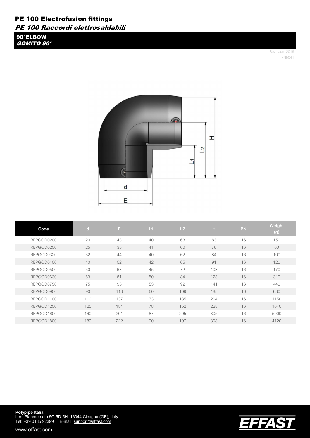90°ELBOW GOMITO 90°

> Rev. Jun 2019 FN5041



| Code       | $\mathbf d$ | E.  | L1 | L <sub>2</sub> | H   | <b>PN</b> | Weight<br>(g) |
|------------|-------------|-----|----|----------------|-----|-----------|---------------|
| REPGOD0200 | 20          | 43  | 40 | 63             | 83  | 16        | 150           |
| REPGOD0250 | 25          | 35  | 41 | 60             | 76  | 16        | 60            |
| REPGOD0320 | 32          | 44  | 40 | 62             | 84  | 16        | 100           |
| REPGOD0400 | 40          | 52  | 42 | 65             | 91  | 16        | 120           |
| REPGOD0500 | 50          | 63  | 45 | 72             | 103 | 16        | 170           |
| REPGOD0630 | 63          | 81  | 50 | 84             | 123 | 16        | 310           |
| REPGOD0750 | 75          | 95  | 53 | 92             | 141 | 16        | 440           |
| REPGOD0900 | 90          | 113 | 60 | 109            | 185 | 16        | 680           |
| REPGOD1100 | 110         | 137 | 73 | 135            | 204 | 16        | 1150          |
| REPGOD1250 | 125         | 154 | 78 | 152            | 228 | 16        | 1640          |
| REPGOD1600 | 160         | 201 | 87 | 205            | 305 | 16        | 5000          |
| REPGOD1800 | 180         | 222 | 90 | 197            | 308 | 16        | 4120          |



**Polypipe Italia**<br>Loc. Pianmercato 5C-5D-5H, 16044 Cicagna (GE), Italy Tel: +39 0185 92399 E-mail: support@effast.com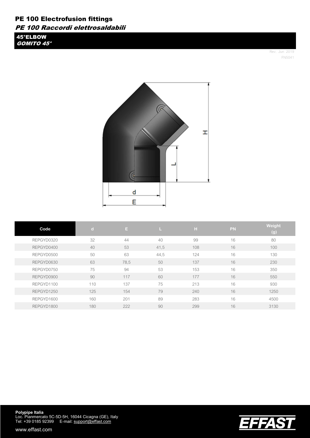45°ELBOW GOMITO 45°

> Rev. Jun 2019 FN5041



| Code       | $\mathbf{d}$ | E.   |      | н   | <b>PN</b> | Weight<br>(g) |
|------------|--------------|------|------|-----|-----------|---------------|
| REPGYD0320 | 32           | 44   | 40   | 99  | 16        | 80            |
| REPGYD0400 | 40           | 53   | 41,5 | 108 | 16        | 100           |
| REPGYD0500 | 50           | 63   | 44,5 | 124 | 16        | 130           |
| REPGYD0630 | 63           | 78,5 | 50   | 137 | 16        | 230           |
| REPGYD0750 | 75           | 94   | 53   | 153 | 16        | 350           |
| REPGYD0900 | 90           | 117  | 60   | 177 | 16        | 550           |
| REPGYD1100 | 110          | 137  | 75   | 213 | 16        | 930           |
| REPGYD1250 | 125          | 154  | 79   | 240 | 16        | 1250          |
| REPGYD1600 | 160          | 201  | 89   | 283 | 16        | 4500          |
| REPGYD1800 | 180          | 222  | 90   | 299 | 16        | 3130          |



**Polypipe Italia**<br>Loc. Pianmercato 5C-5D-5H, 16044 Cicagna (GE), Italy Tel: +39 0185 92399 E-mail: support@effast.com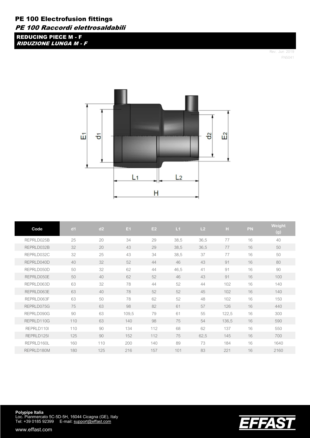REDUCING PIECE M - F RIDUZIONE LUNGA M - F

> Rev. Jun 2019 FN5041

EFFAST



| Code       | d <sub>1</sub> | d2  | E <sub>1</sub> | E2  | L1   | L <sub>2</sub> | H     | <b>PN</b> | Weight<br>(g) |
|------------|----------------|-----|----------------|-----|------|----------------|-------|-----------|---------------|
| REPRLD025B | 25             | 20  | 34             | 29  | 38,5 | 36,5           | 77    | 16        | 40            |
| REPRLD032B | 32             | 20  | 43             | 29  | 38,5 | 36,5           | 77    | 16        | 50            |
| REPRLD032C | 32             | 25  | 43             | 34  | 38,5 | 37             | 77    | 16        | 50            |
| REPRLD040D | 40             | 32  | 52             | 44  | 46   | 43             | 91    | 16        | 80            |
| REPRLD050D | 50             | 32  | 62             | 44  | 46,5 | 41             | 91    | 16        | 90            |
| REPRLD050E | 50             | 40  | 62             | 52  | 46   | 43             | 91    | 16        | 100           |
| REPRLD063D | 63             | 32  | 78             | 44  | 52   | 44             | 102   | 16        | 140           |
| REPRLD063E | 63             | 40  | 78             | 52  | 52   | 45             | 102   | 16        | 140           |
| REPRLD063F | 63             | 50  | 78             | 62  | 52   | 48             | 102   | 16        | 150           |
| REPRLD075G | 75             | 63  | 98             | 82  | 61   | 57             | 126   | 16        | 440           |
| REPRLD090G | 90             | 63  | 109,5          | 79  | 61   | 55             | 122,5 | 16        | 300           |
| REPRLD110G | 110            | 63  | 140            | 98  | 75   | 54             | 136,5 | 16        | 590           |
| REPRLD110I | 110            | 90  | 134            | 112 | 68   | 62             | 137   | 16        | 550           |
| REPRLD125I | 125            | 90  | 152            | 112 | 75   | 62,5           | 145   | 16        | 700           |
| REPRLD160L | 160            | 110 | 200            | 140 | 89   | 73             | 184   | 16        | 1640          |
| REPRLD180M | 180            | 125 | 216            | 157 | 101  | 83             | 221   | 16        | 2160          |

**Polypipe Italia**<br>Loc. Pianmercato 5C-5D-5H, 16044 Cicagna (GE), Italy Tel: +39 0185 92399 E-mail: support@effast.com

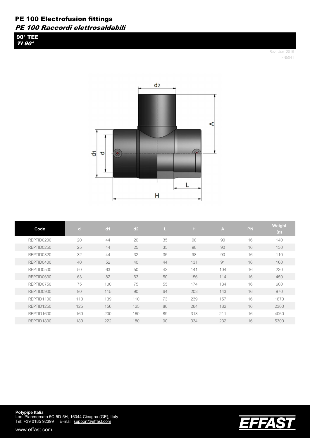90° TEE TI 90°

> Rev. Jun 2019 FN5041



| Code       | $\mathbf{d}$ | d <sub>1</sub> | d2  | u. | Н   | A.  | PN | Weight<br>$\mathsf{(g)}$ |
|------------|--------------|----------------|-----|----|-----|-----|----|--------------------------|
| REPTID0200 | 20           | 44             | 20  | 35 | 98  | 90  | 16 | 140                      |
| REPTID0250 | 25           | 44             | 25  | 35 | 98  | 90  | 16 | 130                      |
| REPTID0320 | 32           | 44             | 32  | 35 | 98  | 90  | 16 | 110                      |
| REPTID0400 | 40           | 52             | 40  | 44 | 131 | 91  | 16 | 160                      |
| REPTID0500 | 50           | 63             | 50  | 43 | 141 | 104 | 16 | 230                      |
| REPTID0630 | 63           | 82             | 63  | 50 | 156 | 114 | 16 | 450                      |
| REPTID0750 | 75           | 100            | 75  | 55 | 174 | 134 | 16 | 600                      |
| REPTID0900 | 90           | 115            | 90  | 64 | 203 | 143 | 16 | 970                      |
| REPTID1100 | 110          | 139            | 110 | 73 | 239 | 157 | 16 | 1670                     |
| REPTID1250 | 125          | 156            | 125 | 80 | 264 | 182 | 16 | 2300                     |
| REPTID1600 | 160          | 200            | 160 | 89 | 313 | 211 | 16 | 4060                     |
| REPTID1800 | 180          | 222            | 180 | 90 | 334 | 232 | 16 | 5300                     |



**Polypipe Italia**<br>Loc. Pianmercato 5C-5D-5H, 16044 Cicagna (GE), Italy Tel: +39 0185 92399 E-mail: support@effast.com